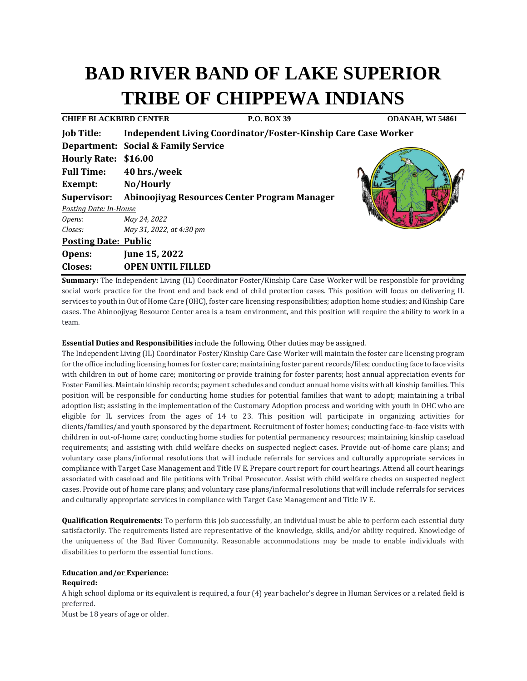# **BAD RIVER BAND OF LAKE SUPERIOR TRIBE OF CHIPPEWA INDIANS**

| <b>P.O. BOX 39</b>                                             | ODANAH, WI 54861                                                                                                                                                                                                                                                                       |
|----------------------------------------------------------------|----------------------------------------------------------------------------------------------------------------------------------------------------------------------------------------------------------------------------------------------------------------------------------------|
| Independent Living Coordinator/Foster-Kinship Care Case Worker |                                                                                                                                                                                                                                                                                        |
|                                                                |                                                                                                                                                                                                                                                                                        |
|                                                                |                                                                                                                                                                                                                                                                                        |
|                                                                |                                                                                                                                                                                                                                                                                        |
|                                                                |                                                                                                                                                                                                                                                                                        |
| Supervisor: Abinoojiyag Resources Center Program Manager       |                                                                                                                                                                                                                                                                                        |
|                                                                |                                                                                                                                                                                                                                                                                        |
|                                                                |                                                                                                                                                                                                                                                                                        |
|                                                                |                                                                                                                                                                                                                                                                                        |
|                                                                |                                                                                                                                                                                                                                                                                        |
|                                                                |                                                                                                                                                                                                                                                                                        |
|                                                                |                                                                                                                                                                                                                                                                                        |
|                                                                | <b>CHIEF BLACKBIRD CENTER</b><br><b>Department: Social &amp; Family Service</b><br>Hourly Rate: \$16.00<br>40 hrs./week<br>No/Hourly<br>Posting Date: In-House<br>May 24, 2022<br>May 31, 2022, at 4:30 pm<br><b>Posting Date: Public</b><br>June 15, 2022<br><b>OPEN UNTIL FILLED</b> |

**Summary:** The Independent Living (IL) Coordinator Foster/Kinship Care Case Worker will be responsible for providing social work practice for the front end and back end of child protection cases. This position will focus on delivering IL services to youth in Out of Home Care (OHC), foster care licensing responsibilities; adoption home studies; and Kinship Care cases. The Abinoojiyag Resource Center area is a team environment, and this position will require the ability to work in a team.

### **Essential Duties and Responsibilities** include the following. Other duties may be assigned.

The Independent Living (IL) Coordinator Foster/Kinship Care Case Worker will maintain the foster care licensing program for the office including licensing homes for foster care; maintaining foster parent records/files; conducting face to face visits with children in out of home care; monitoring or provide training for foster parents; host annual appreciation events for Foster Families. Maintain kinship records; payment schedules and conduct annual home visits with all kinship families. This position will be responsible for conducting home studies for potential families that want to adopt; maintaining a tribal adoption list; assisting in the implementation of the Customary Adoption process and working with youth in OHC who are eligible for IL services from the ages of 14 to 23. This position will participate in organizing activities for clients/families/and youth sponsored by the department. Recruitment of foster homes; conducting face-to-face visits with children in out-of-home care; conducting home studies for potential permanency resources; maintaining kinship caseload requirements; and assisting with child welfare checks on suspected neglect cases. Provide out-of-home care plans; and voluntary case plans/informal resolutions that will include referrals for services and culturally appropriate services in compliance with Target Case Management and Title IV E. Prepare court report for court hearings. Attend all court hearings associated with caseload and file petitions with Tribal Prosecutor. Assist with child welfare checks on suspected neglect cases. Provide out of home care plans; and voluntary case plans/informal resolutions that will include referrals for services and culturally appropriate services in compliance with Target Case Management and Title IV E.

**Qualification Requirements:** To perform this job successfully, an individual must be able to perform each essential duty satisfactorily. The requirements listed are representative of the knowledge, skills, and/or ability required. Knowledge of the uniqueness of the Bad River Community. Reasonable accommodations may be made to enable individuals with disabilities to perform the essential functions.

# **Education and/or Experience:**

### **Required:**

A high school diploma or its equivalent is required, a four (4) year bachelor's degree in Human Services or a related field is preferred.

Must be 18 years of age or older.